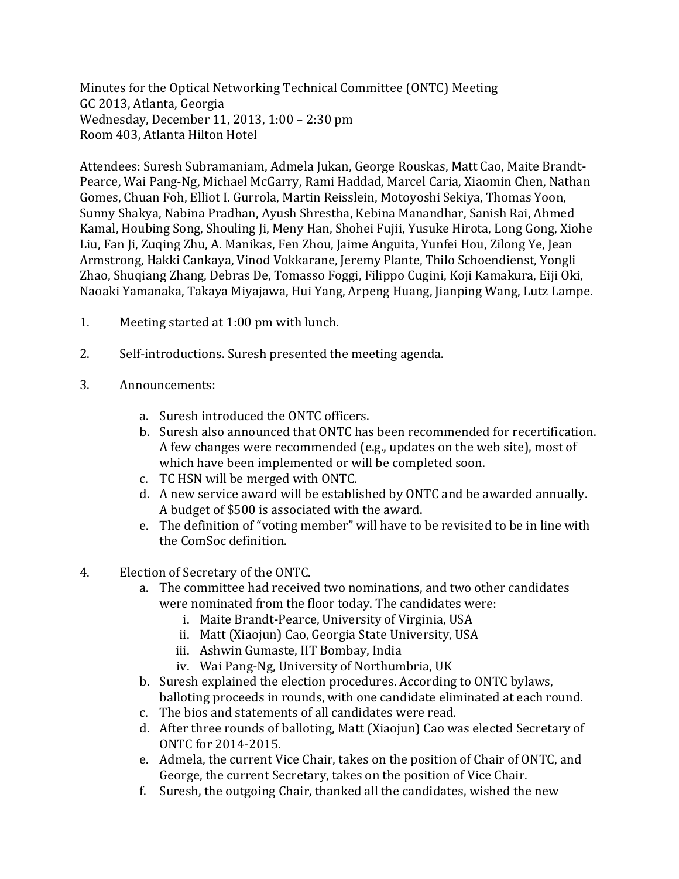Minutes for the Optical Networking Technical Committee (ONTC) Meeting GC 2013, Atlanta, Georgia Wednesday, December 11, 2013, 1:00 – 2:30 pm Room 403, Atlanta Hilton Hotel

Attendees: Suresh Subramaniam, Admela Jukan, George Rouskas, Matt Cao, Maite Brandt-Pearce, Wai Pang-Ng, Michael McGarry, Rami Haddad, Marcel Caria, Xiaomin Chen, Nathan Gomes, Chuan Foh, Elliot I. Gurrola, Martin Reisslein, Motoyoshi Sekiya, Thomas Yoon, Sunny Shakya, Nabina Pradhan, Ayush Shrestha, Kebina Manandhar, Sanish Rai, Ahmed Kamal, Houbing Song, Shouling Ji, Meny Han, Shohei Fujii, Yusuke Hirota, Long Gong, Xiohe Liu, Fan Ji, Zuqing Zhu, A. Manikas, Fen Zhou, Jaime Anguita, Yunfei Hou, Zilong Ye, Jean Armstrong, Hakki Cankaya, Vinod Vokkarane, Jeremy Plante, Thilo Schoendienst, Yongli Zhao, Shuqiang Zhang, Debras De, Tomasso Foggi, Filippo Cugini, Koji Kamakura, Eiji Oki, Naoaki Yamanaka, Takaya Miyajawa, Hui Yang, Arpeng Huang, Jianping Wang, Lutz Lampe.

- 1. Meeting started at 1:00 pm with lunch.
- 2. Self-introductions. Suresh presented the meeting agenda.
- 3. Announcements:
	- a. Suresh introduced the ONTC officers.
	- b. Suresh also announced that ONTC has been recommended for recertification. A few changes were recommended (e.g., updates on the web site), most of which have been implemented or will be completed soon.
	- c. TC HSN will be merged with ONTC.
	- d. A new service award will be established by ONTC and be awarded annually. A budget of \$500 is associated with the award.
	- e. The definition of "voting member" will have to be revisited to be in line with the ComSoc definition.
- 4. Election of Secretary of the ONTC.
	- a. The committee had received two nominations, and two other candidates were nominated from the floor today. The candidates were:
		- i. Maite Brandt-Pearce, University of Virginia, USA
		- ii. Matt (Xiaojun) Cao, Georgia State University, USA
		- iii. Ashwin Gumaste, IIT Bombay, India
		- iv. Wai Pang-Ng, University of Northumbria, UK
	- b. Suresh explained the election procedures. According to ONTC bylaws, balloting proceeds in rounds, with one candidate eliminated at each round.
	- c. The bios and statements of all candidates were read.
	- d. After three rounds of balloting, Matt (Xiaojun) Cao was elected Secretary of ONTC for 2014-2015.
	- e. Admela, the current Vice Chair, takes on the position of Chair of ONTC, and George, the current Secretary, takes on the position of Vice Chair.
	- f. Suresh, the outgoing Chair, thanked all the candidates, wished the new